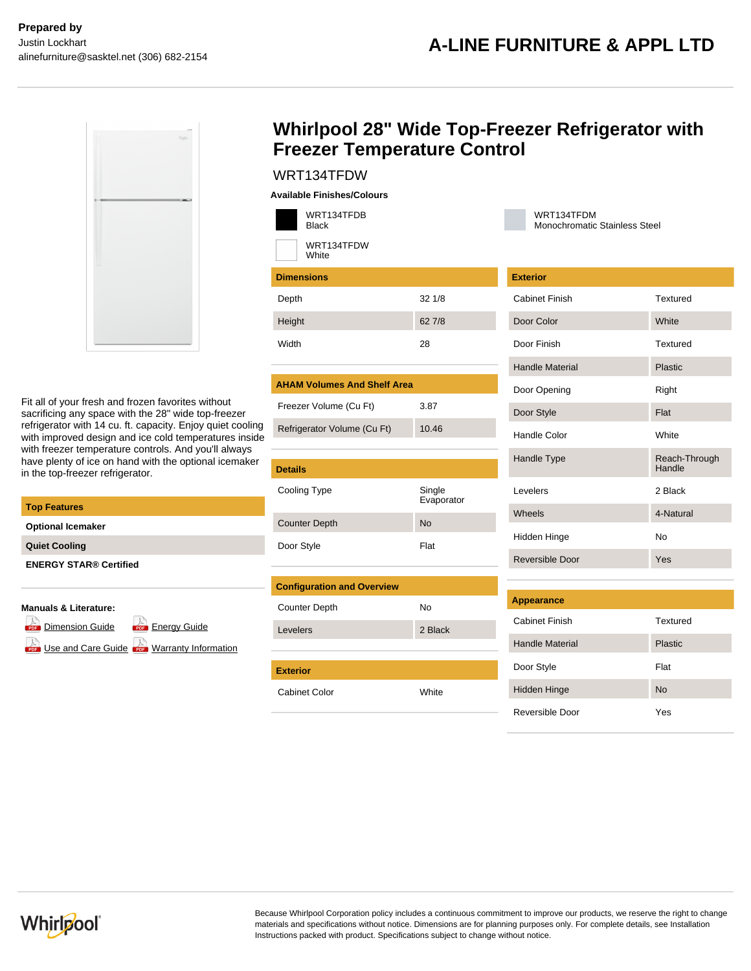

Fit all of your fresh and frozen favorites without sacrificing any space with the 28" wide top-freezer refrigerator with 14 cu. ft. capacity. Enjoy quiet cooling with improved design and ice cold temperatures inside with freezer temperature controls. And you'll always have plenty of ice on hand with the optional icemaker in the top-freezer refrigerator.

| <b>Top Features</b>           |
|-------------------------------|
| <b>Optional Icemaker</b>      |
| <b>Quiet Cooling</b>          |
| <b>ENERGY STAR® Certified</b> |
|                               |

## **Manuals & Literature:**

**[Dimension Guide](https://api.whirlpoolcentral.ca/?action=tk_download&tk_service=brochure_document&tk_file=WRT134TFDW_dimension_guide_en.pdf&tk_id=431-200229) For [Energy Guide](https://api.whirlpoolcentral.ca/?action=tk_download&tk_service=brochure_document&tk_file=WRT134TFDW_energy_guide_en.pdf&tk_id=431-200229)** 

[Use and Care Guide](https://api.whirlpoolcentral.ca/?action=tk_download&tk_service=brochure_document&tk_file=WRT134TFDW_use_and_care_en.pdf&tk_id=431-200229) **Care [Warranty Information](https://api.whirlpoolcentral.ca/?action=tk_download&tk_service=brochure_document&tk_file=WRT134TFDW_warranty_en.pdf&tk_id=431-200229)** 

## **Whirlpool 28" Wide Top-Freezer Refrigerator with Freezer Temperature Control**

## WRT134TFDW

| <b>Available Finishes/Colours</b> |  |
|-----------------------------------|--|
|-----------------------------------|--|

|       | WRT134TFDB<br><b>Black</b> |       |
|-------|----------------------------|-------|
|       | WRT134TFDW<br><b>White</b> |       |
|       | <b>Dimensions</b>          |       |
| Depth |                            | 321/8 |
|       |                            |       |

| Height | 62 |
|--------|----|
| Width  | 28 |

## **AHAM Volumes And Shelf Area**

| Freezer Volume (Cu Ft)      | 3.87  |
|-----------------------------|-------|
| Refrigerator Volume (Cu Ft) | 10.46 |

62 7/8

| <b>Details</b>       |                      |
|----------------------|----------------------|
| Cooling Type         | Single<br>Evaporator |
| <b>Counter Depth</b> | No                   |
| Door Style           | Flat                 |

| <b>Configuration and Overview</b> |         |
|-----------------------------------|---------|
| <b>Counter Depth</b>              | No      |
| Levelers                          | 2 Black |
|                                   |         |
|                                   |         |
| <b>Exterior</b>                   |         |
| Cabinet Color                     | White   |

### WRT134TFDM Monochromatic Stainless Steel

| <b>Exterior</b>        |                         |
|------------------------|-------------------------|
| <b>Cabinet Finish</b>  | Textured                |
| Door Color             | <b>White</b>            |
| Door Finish            | Textured                |
| <b>Handle Material</b> | <b>Plastic</b>          |
| Door Opening           | Right                   |
| Door Style             | Flat                    |
| Handle Color           | <b>White</b>            |
| Handle Type            | Reach-Through<br>Handle |
| <b>Levelers</b>        | 2 Black                 |
| Wheels                 | 4-Natural               |
| Hidden Hinge           | No                      |
| Reversible Door        | Yes                     |

| Appearance             |                |
|------------------------|----------------|
| <b>Cabinet Finish</b>  | Textured       |
| <b>Handle Material</b> | <b>Plastic</b> |
| Door Style             | Flat           |
| <b>Hidden Hinge</b>    | <b>No</b>      |
| Reversible Door        | Yes            |



Because Whirlpool Corporation policy includes a continuous commitment to improve our products, we reserve the right to change materials and specifications without notice. Dimensions are for planning purposes only. For complete details, see Installation Instructions packed with product. Specifications subject to change without notice.